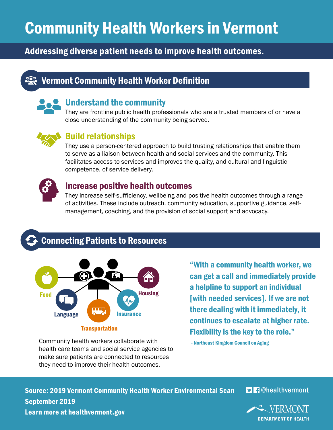# Community Health Workers in Vermont

## Addressing diverse patient needs to improve health outcomes.

## **IQ Vermont Community Health Worker Definition**



#### Understand the community

They are frontline public health professionals who are a trusted members of or have a close understanding of the community being served.



#### Build relationships

They use a person-centered approach to build trusting relationships that enable them to serve as a liaison between health and social services and the community. This facilitates access to services and improves the quality, and cultural and linguistic competence, of service delivery.



#### Increase positive health outcomes

They increase self-sufficiency, wellbeing and positive health outcomes through a range of activities. These include outreach, community education, supportive guidance, selfmanagement, coaching, and the provision of social support and advocacy.

## Connecting Patients to Resources



Community health workers collaborate with health care teams and social service agencies to make sure patients are connected to resources they need to improve their health outcomes.

"With a community health worker, we can get a call and immediately provide a helpline to support an individual [with needed services]. If we are not there dealing with it immediately, it continues to escalate at higher rate. Flexibility is the key to the role."

- Northeast Kingdom Council on Aging

Source: 2019 Vermont Community Health Worker Environmental Scan September 2019 Learn more at healthvermont.gov



**D A** @healthvermont